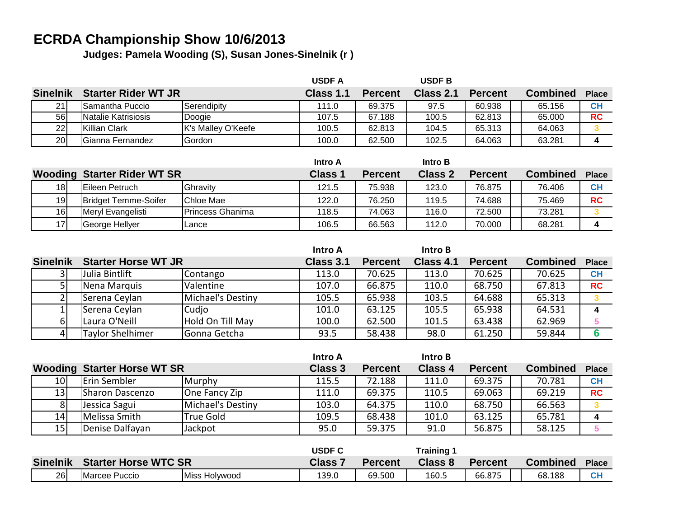## **ECRDA Championship Show 10/6/2013**

**Judges: Pamela Wooding (S), Susan Jones-Sinelnik (r )**

|                 |                                    |                    | <b>USDFA</b>   |                | <b>USDFB</b>   |                |                 |              |
|-----------------|------------------------------------|--------------------|----------------|----------------|----------------|----------------|-----------------|--------------|
| <b>Sinelnik</b> | <b>Starter Rider WT JR</b>         |                    | Class 1.1      | <b>Percent</b> | Class 2.1      | <b>Percent</b> | <b>Combined</b> | <b>Place</b> |
| 21              | Samantha Puccio                    | Serendipity        | 111.0          | 69.375         | 97.5           | 60.938         | 65.156          | <b>CH</b>    |
| 56              | Natalie Katrisiosis                | Doogie             | 107.5          | 67.188         | 100.5          | 62.813         | 65.000          | <b>RC</b>    |
| 22              | Killian Clark                      | K's Malley O'Keefe | 100.5          | 62.813         | 104.5          | 65.313         | 64.063          |              |
| 20              | Gianna Fernandez                   | Gordon             | 100.0          | 62.500         | 102.5          | 64.063         | 63.281          | 4            |
|                 |                                    |                    |                |                |                |                |                 |              |
|                 |                                    |                    |                |                |                |                |                 |              |
|                 |                                    |                    | <b>Intro A</b> |                | Intro B        |                |                 |              |
|                 | <b>Wooding Starter Rider WT SR</b> |                    | <b>Class 1</b> | <b>Percent</b> | <b>Class 2</b> | <b>Percent</b> | <b>Combined</b> | <b>Place</b> |
| 18              | Eileen Petruch                     | Ghravity           | 121.5          | 75.938         | 123.0          | 76.875         | 76.406          | CH           |
| 19              | <b>Bridget Temme-Soifer</b>        | Chloe Mae          | 122.0          | 76.250         | 119.5          | 74.688         | 75.469          | <b>RC</b>    |

|                 |                            |                   | Intro A   |                | Intro B   |                |                 |              |
|-----------------|----------------------------|-------------------|-----------|----------------|-----------|----------------|-----------------|--------------|
| <b>Sinelnik</b> | <b>Starter Horse WT JR</b> |                   | Class 3.1 | <b>Percent</b> | Class 4.1 | <b>Percent</b> | <b>Combined</b> | <b>Place</b> |
|                 | Julia Bintlift             | Contango          | 113.0     | 70.625         | 113.0     | 70.625         | 70.625          | CH           |
|                 | Nena Marquis               | Valentine         | 107.0     | 66.875         | 110.0     | 68.750         | 67.813          | <b>RC</b>    |
|                 | Serena Ceylan              | Michael's Destiny | 105.5     | 65.938         | 103.5     | 64.688         | 65.313          |              |
|                 | Serena Ceylan              | Cudio             | 101.0     | 63.125         | 105.5     | 65.938         | 64.531          |              |
|                 | Laura O'Neill              | Hold On Till May  | 100.0     | 62.500         | 101.5     | 63.438         | 62.969          |              |
|                 | <b>Taylor Shelhimer</b>    | lGonna Getcha     | 93.5      | 58.438         | 98.0      | 61.250         | 59.844          |              |

17 George Hellyer Lance 106.5 66.563 112.0 70.000 68.281 4

|                 |                                    |                     |                   | Intro A        |                | Intro B        |                |                 |              |
|-----------------|------------------------------------|---------------------|-------------------|----------------|----------------|----------------|----------------|-----------------|--------------|
|                 | <b>Wooding Starter Horse WT SR</b> |                     |                   | <b>Class 3</b> | <b>Percent</b> | <b>Class 4</b> | <b>Percent</b> | <b>Combined</b> | <b>Place</b> |
| 10              |                                    | <b>Erin Sembler</b> | Murphy            | 115.5          | 72.188         | 111.0          | 69.375         | 70.781          | CH           |
| 13              |                                    | Sharon Dascenzo     | One Fancy Zip     | 111.0          | 69.375         | 110.5          | 69.063         | 69.219          | <b>RC</b>    |
| 81              |                                    | Jessica Sagui       | Michael's Destiny | 103.0          | 64.375         | 110.0          | 68.750         | 66.563          |              |
| 14 <sub>1</sub> |                                    | Melissa Smith       | True Gold         | 109.5          | 68.438         | 101.0          | 63.125         | 65.781          |              |
| 15 <sub>l</sub> |                                    | Denise Dalfayan     | Jackpot           | 95.0           | 59.375         | 91.0           | 56.875         | 58.125          |              |

|                 |                             |               | <b>USDF C</b> |                | Training 1     |                |                 |              |
|-----------------|-----------------------------|---------------|---------------|----------------|----------------|----------------|-----------------|--------------|
| <b>Sinelnik</b> | <b>Starter Horse WTC SR</b> |               | <b>Class</b>  | <b>Percent</b> | <b>Class 8</b> | <b>Percent</b> | <b>Combined</b> | <b>Place</b> |
| 26              | Marcee Puccio               | Miss Holywood | 139.0         | 69.500         | 160.5          | 66.875         | 68.188          | $c_{F}$      |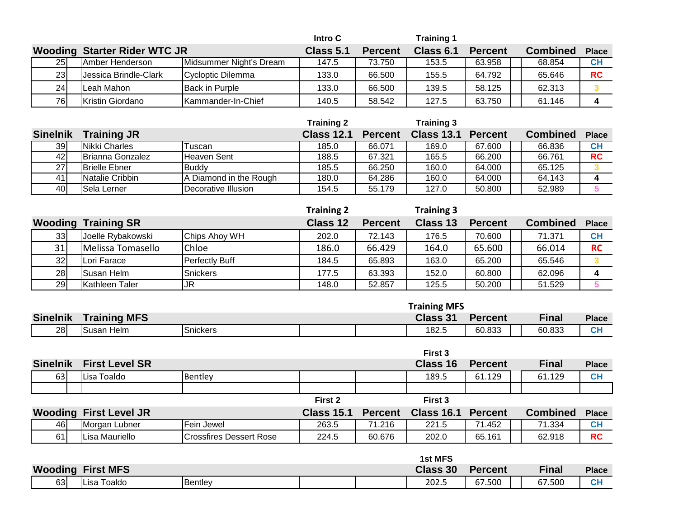|                 |                                     |                            | Intro C |                | <b>Training 1</b> |                |                 |              |
|-----------------|-------------------------------------|----------------------------|---------|----------------|-------------------|----------------|-----------------|--------------|
|                 | <b>Wooding Starter Rider WTC JR</b> |                            |         | <b>Percent</b> | Class 6.1         | <b>Percent</b> | <b>Combined</b> | <b>Place</b> |
| <b>25</b>       | <b>Amber Henderson</b>              | Midsummer Night's Dream    | 147.5   | 73.750         | 153.5             | 63.958         | 68.854          | <b>CH</b>    |
| 23 <sub>l</sub> | Jessica Brindle-Clark               | <b>IC</b> vcloptic Dilemma | 133.0   | 66.500         | 155.5             | 64.792         | 65.646          | <b>RC</b>    |
| 24              | Leah Mahon                          | <b>Back in Purple</b>      | 133.0   | 66,500         | 139.5             | 58.125         | 62.313          |              |
| 76 <sub>l</sub> | Kristin Giordano                    | Kammander-In-Chief         | 140.5   | 58.542         | 127.5             | 63.750         | 61.146          |              |

|                 |                         |                        | <b>Training 2</b> |                | <b>Training 3</b> |                |                 |              |
|-----------------|-------------------------|------------------------|-------------------|----------------|-------------------|----------------|-----------------|--------------|
| <b>Sinelnik</b> | <b>Training JR</b>      |                        | <b>Class 12.1</b> | <b>Percent</b> | <b>Class 13.1</b> | <b>Percent</b> | <b>Combined</b> | <b>Place</b> |
| <b>39</b>       | Nikki Charles           | Tuscan                 | 185.0             | 66.071         | 169.0             | 67.600         | 66.836          | <b>CH</b>    |
| 421             | <b>Brianna Gonzalez</b> | Heaven Sent            | 188.5             | 67.321         | 165.5             | 66.200         | 66.761          | <b>RC</b>    |
| 27              | <b>Brielle Ebner</b>    | <b>Buddy</b>           | 185.5             | 66.250         | 160.0             | 64.000         | 65.125          |              |
| 41              | Natalie Cribbin         | A Diamond in the Rough | 180.0             | 64.286         | 160.0             | 64.000         | 64.143          |              |
| 40              | Sela Lerner             | Decorative Illusion    | 154.5             | 55.179         | 127.0             | 50.800         | 52.989          |              |

|                 |                    |                 | <b>Training 2</b> |                | <b>Training 3</b> |                |                 |              |
|-----------------|--------------------|-----------------|-------------------|----------------|-------------------|----------------|-----------------|--------------|
| Wooding         | <b>Training SR</b> |                 | Class 12          | <b>Percent</b> | Class 13          | <b>Percent</b> | <b>Combined</b> | <b>Place</b> |
| 33              | Joelle Rybakowski  | Chips Ahoy WH   | 202.0             | 72.143         | 176.5             | 70.600         | 71.371          | <b>CH</b>    |
| 31              | Melissa Tomasello  | Chloe           | 186.0             | 66.429         | 164.0             | 65.600         | 66.014          | <b>RC</b>    |
| 32 <sub>l</sub> | Lori Farace        | Perfectly Buff  | 184.5             | 65.893         | 163.0             | 65.200         | 65.546          |              |
| 28 <sub>l</sub> | Susan Helm         | <b>Snickers</b> | 177.5             | 63.393         | 152.0             | 60.800         | 62.096          |              |
| 29              | Kathleen Taler     | JR              | 148.0             | 52.857         | 125.5             | 50.200         | 51.529          |              |

| <b>Training MFS</b><br><b>Class 31</b><br><b>Sinelnik</b><br>Percent |              |        |              |
|----------------------------------------------------------------------|--------------|--------|--------------|
|                                                                      | <b>Place</b> |        | <b>Final</b> |
| <b>28</b><br><b>Snickers</b><br>182.5<br>60.833<br>Susan Helm        | <b>CH</b>    | 60.833 |              |

|                 |                               |                         |                    |        | First 3                   |                |                 |              |
|-----------------|-------------------------------|-------------------------|--------------------|--------|---------------------------|----------------|-----------------|--------------|
| <b>Sinelnik</b> | <b>First Level SR</b>         |                         |                    |        | Class 16                  | <b>Percent</b> | <b>Final</b>    | <b>Place</b> |
| 63              | Lisa Toaldo                   | Bentley                 |                    |        | 189.5                     | 61.129         | 61.129          | CH           |
|                 |                               |                         |                    |        |                           |                |                 |              |
|                 |                               |                         | First 2            |        | First 3                   |                |                 |              |
|                 | <b>Wooding First Level JR</b> |                         | Class 15.1 Percent |        | <b>Class 16.1 Percent</b> |                | <b>Combined</b> | <b>Place</b> |
| 461             | Morgan Lubner                 | <b>Fein Jewel</b>       | 263.5              | 71.216 | 221.5                     | 71.452         | 71.334          | <b>CH</b>    |
| 61              | Lisa Mauriello                | Crossfires Dessert Rose | 224.5              | 60.676 | 202.0                     | 65.161         | 62.918          | <b>RC</b>    |

|         |                  |         |  |  | <b>1st MFS</b> |                |                             |                  |
|---------|------------------|---------|--|--|----------------|----------------|-----------------------------|------------------|
| Wooding | <b>First MFS</b> |         |  |  |                | <b>Percent</b> | $\overline{\mathsf{final}}$ | Place            |
| 63      | Lisa Toaldo      | Bentley |  |  | 202.5          | 67.500         | 67.500                      | <b>CL</b><br>UT. |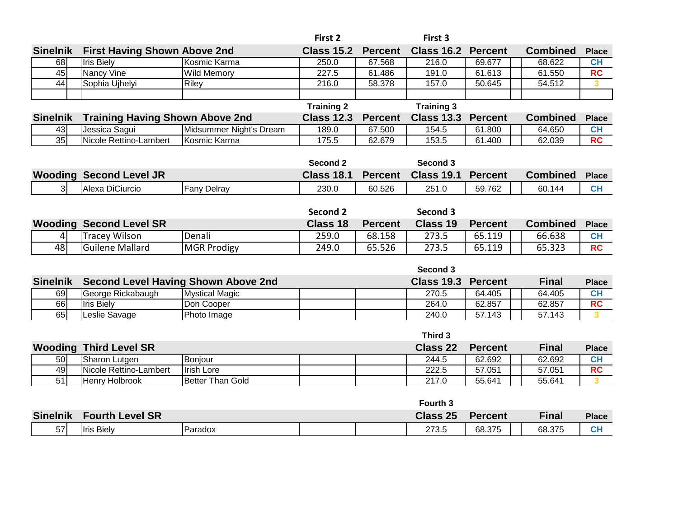|                 |                                            |                         | First 2           |                | First 3             |                |                 |                         |
|-----------------|--------------------------------------------|-------------------------|-------------------|----------------|---------------------|----------------|-----------------|-------------------------|
| <b>Sinelnik</b> | <b>First Having Shown Above 2nd</b>        |                         | <b>Class 15.2</b> | <b>Percent</b> | <b>Class 16.2</b>   | <b>Percent</b> | <b>Combined</b> | <b>Place</b>            |
| 68              | <b>Iris Biely</b>                          | Kosmic Karma            | 250.0             | 67.568         | 216.0               | 69.677         | 68.622          | <b>CH</b>               |
| 45              | Nancy Vine                                 | <b>Wild Memory</b>      | 227.5             | 61.486         | 191.0               | 61.613         | 61.550          | <b>RC</b>               |
| 44              | Sophia Ujhelyi                             | <b>Riley</b>            | 216.0             | 58.378         | 157.0               | 50.645         | 54.512          | $\overline{\mathbf{3}}$ |
|                 |                                            |                         |                   |                |                     |                |                 |                         |
|                 |                                            |                         | <b>Training 2</b> |                | <b>Training 3</b>   |                |                 |                         |
| <b>Sinelnik</b> | <b>Training Having Shown Above 2nd</b>     |                         | <b>Class 12.3</b> | <b>Percent</b> | <b>Class 13.3</b>   | <b>Percent</b> | <b>Combined</b> | <b>Place</b>            |
| 43              | Jessica Sagui                              | Midsummer Night's Dream | 189.0             | 67.500         | 154.5               | 61.800         | 64.650          | CH                      |
| 35              | Nicole Rettino-Lambert                     | Kosmic Karma            | 175.5             | 62.679         | 153.5               | 61.400         | 62.039          | RC                      |
|                 |                                            |                         |                   |                |                     |                |                 |                         |
|                 |                                            |                         | Second 2          |                | Second 3            |                |                 |                         |
| Wooding         | <b>Second Level JR</b>                     |                         | <b>Class 18.1</b> | <b>Percent</b> | <b>Class 19.1</b>   | <b>Percent</b> | <b>Combined</b> | <b>Place</b>            |
| $\overline{3}$  | Alexa DiCiurcio                            | <b>Fany Delray</b>      | 230.0             | 60.526         | 251.0               | 59.762         | 60.144          | <b>CH</b>               |
|                 |                                            |                         |                   |                |                     |                |                 |                         |
|                 |                                            |                         | Second 2          |                | Second 3            |                |                 |                         |
| Wooding         | <b>Second Level SR</b>                     |                         | <b>Class 18</b>   | <b>Percent</b> | <b>Class 19</b>     | <b>Percent</b> | <b>Combined</b> | <b>Place</b>            |
| $\vert 4 \vert$ | <b>Tracey Wilson</b>                       | Denali                  | 259.0             | 68.158         | 273.5               | 65.119         | 66.638          | <b>CH</b>               |
| 48              | <b>Guilene Mallard</b>                     | <b>MGR Prodigy</b>      | 249.0             | 65.526         | 273.5               | 65.119         | 65.323          | <b>RC</b>               |
|                 |                                            |                         |                   |                |                     |                |                 |                         |
|                 |                                            |                         |                   |                | Second 3            |                |                 |                         |
| <b>Sinelnik</b> | <b>Second Level Having Shown Above 2nd</b> |                         |                   |                | <b>Class 19.3</b>   | <b>Percent</b> | <b>Final</b>    | <b>Place</b>            |
| 69              | George Rickabaugh                          | <b>Mystical Magic</b>   |                   |                | 270.5               | 64.405         | 64.405          | <b>CH</b>               |
| 66              | <b>Iris Biely</b>                          | Don Cooper              |                   |                | 264.0               | 62.857         | 62.857          | <b>RC</b>               |
| 65              | Leslie Savage                              | Photo Image             |                   |                | 240.0               | 57.143         | 57.143          | 3 <sup>1</sup>          |
|                 |                                            |                         |                   |                |                     |                |                 |                         |
|                 |                                            |                         |                   |                | Third 3             |                |                 |                         |
| Wooding         | <b>Third Level SR</b>                      |                         |                   |                | <b>Class 22</b>     | <b>Percent</b> | <b>Final</b>    | <b>Place</b>            |
| 50              | Sharon Lutgen                              | Bonjour                 |                   |                | 244.5               | 62.692         | 62.692          | <b>CH</b>               |
| 49              | Nicole Rettino-Lambert                     | <b>Irish Lore</b>       |                   |                | 222.5               | 57.051         | 57.051          | <b>RC</b>               |
| 51              | Henry Holbrook                             | <b>Better Than Gold</b> |                   |                | 217.0               | 55.641         | 55.641          | 3 <sup>1</sup>          |
|                 |                                            |                         |                   |                |                     |                |                 |                         |
|                 |                                            |                         |                   |                | Fourth <sub>3</sub> |                |                 |                         |

|                 |                              |         |  | ് Fourth ാ      |                |        |              |
|-----------------|------------------------------|---------|--|-----------------|----------------|--------|--------------|
| <b>Sinelnik</b> | <b>Fourth Level SR</b>       |         |  | <b>Class 25</b> | <b>Percent</b> | Final  | <b>Place</b> |
| 57              | <b>Biely</b><br><u>IIris</u> | Paradox |  | 273.5           | 68.375         | 68.375 | $\sim$<br>◡г |